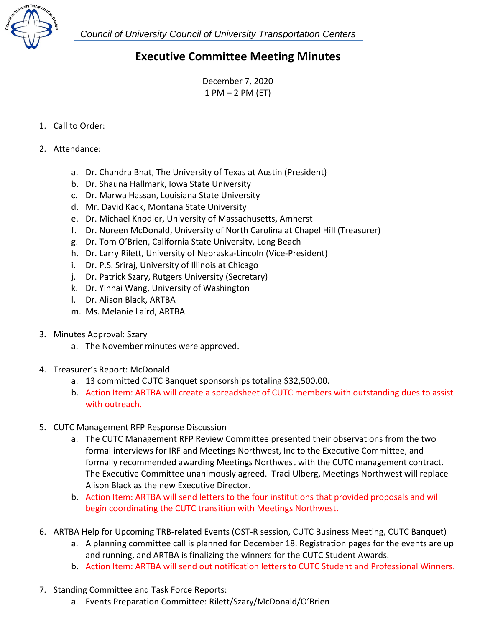

 *Council of University Council of University Transportation Centers* 

## **Executive Committee Meeting Minutes**

December 7, 2020 1 PM – 2 PM (ET)

## 1. Call to Order:

- 2. Attendance:
	- a. Dr. Chandra Bhat, The University of Texas at Austin (President)
	- b. Dr. Shauna Hallmark, Iowa State University
	- c. Dr. Marwa Hassan, Louisiana State University
	- d. Mr. David Kack, Montana State University
	- e. Dr. Michael Knodler, University of Massachusetts, Amherst
	- f. Dr. Noreen McDonald, University of North Carolina at Chapel Hill (Treasurer)
	- g. Dr. Tom O'Brien, California State University, Long Beach
	- h. Dr. Larry Rilett, University of Nebraska‐Lincoln (Vice‐President)
	- i. Dr. P.S. Sriraj, University of Illinois at Chicago
	- j. Dr. Patrick Szary, Rutgers University (Secretary)
	- k. Dr. Yinhai Wang, University of Washington
	- l. Dr. Alison Black, ARTBA
	- m. Ms. Melanie Laird, ARTBA
- 3. Minutes Approval: Szary
	- a. The November minutes were approved.
- 4. Treasurer's Report: McDonald
	- a. 13 committed CUTC Banquet sponsorships totaling \$32,500.00.
	- b. Action Item: ARTBA will create a spreadsheet of CUTC members with outstanding dues to assist with outreach.
- 5. CUTC Management RFP Response Discussion
	- a. The CUTC Management RFP Review Committee presented their observations from the two formal interviews for IRF and Meetings Northwest, Inc to the Executive Committee, and formally recommended awarding Meetings Northwest with the CUTC management contract. The Executive Committee unanimously agreed. Traci Ulberg, Meetings Northwest will replace Alison Black as the new Executive Director.
	- b. Action Item: ARTBA will send letters to the four institutions that provided proposals and will begin coordinating the CUTC transition with Meetings Northwest.
- 6. ARTBA Help for Upcoming TRB‐related Events (OST‐R session, CUTC Business Meeting, CUTC Banquet)
	- a. A planning committee call is planned for December 18. Registration pages for the events are up and running, and ARTBA is finalizing the winners for the CUTC Student Awards.
	- b. Action Item: ARTBA will send out notification letters to CUTC Student and Professional Winners.
- 7. Standing Committee and Task Force Reports:
	- a. Events Preparation Committee: Rilett/Szary/McDonald/O'Brien